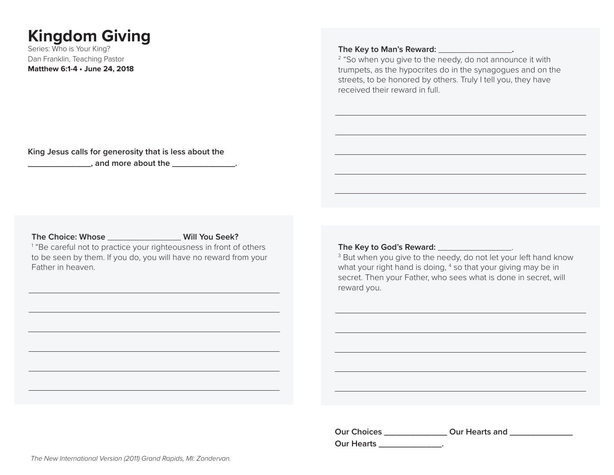# **Kingdom Giving**

Series: Who is Your King? Dan Franklin, Teaching Pastor **Matthew 6:1-4 • June 24, 2018**

#### **The Key to Man's Reward:** \_\_\_\_\_\_\_\_\_\_\_\_\_\_**.**

<sup>2</sup> "So when you give to the needy, do not announce it with trumpets, as the hypocrites do in the synagogues and on the streets, to be honored by others. Truly I tell you, they have received their reward in full.

**King Jesus calls for generosity that is less about the \_\_\_\_\_\_\_\_\_\_\_\_\_\_**, and more about the \_\_\_\_\_\_\_\_\_\_\_\_\_\_\_.

**The Choice: Whose** \_\_\_\_\_\_\_\_\_\_\_\_\_\_ **Will You Seek?**

<sup>1</sup> "Be careful not to practice your righteousness in front of others to be seen by them. If you do, you will have no reward from your Father in heaven.

**The Key to God's Reward:** \_\_\_\_\_\_\_\_\_\_\_\_\_\_.

<sup>3</sup> But when you give to the needy, do not let your left hand know what your right hand is doing, <sup>4</sup> so that your giving may be in secret. Then your Father, who sees what is done in secret, will reward you.

**Our Choices \_\_\_\_\_\_\_\_\_\_\_\_ Our Hearts and \_\_\_\_\_\_\_\_\_\_\_\_ Our Hearts \_\_\_\_\_\_\_\_\_\_\_\_.**